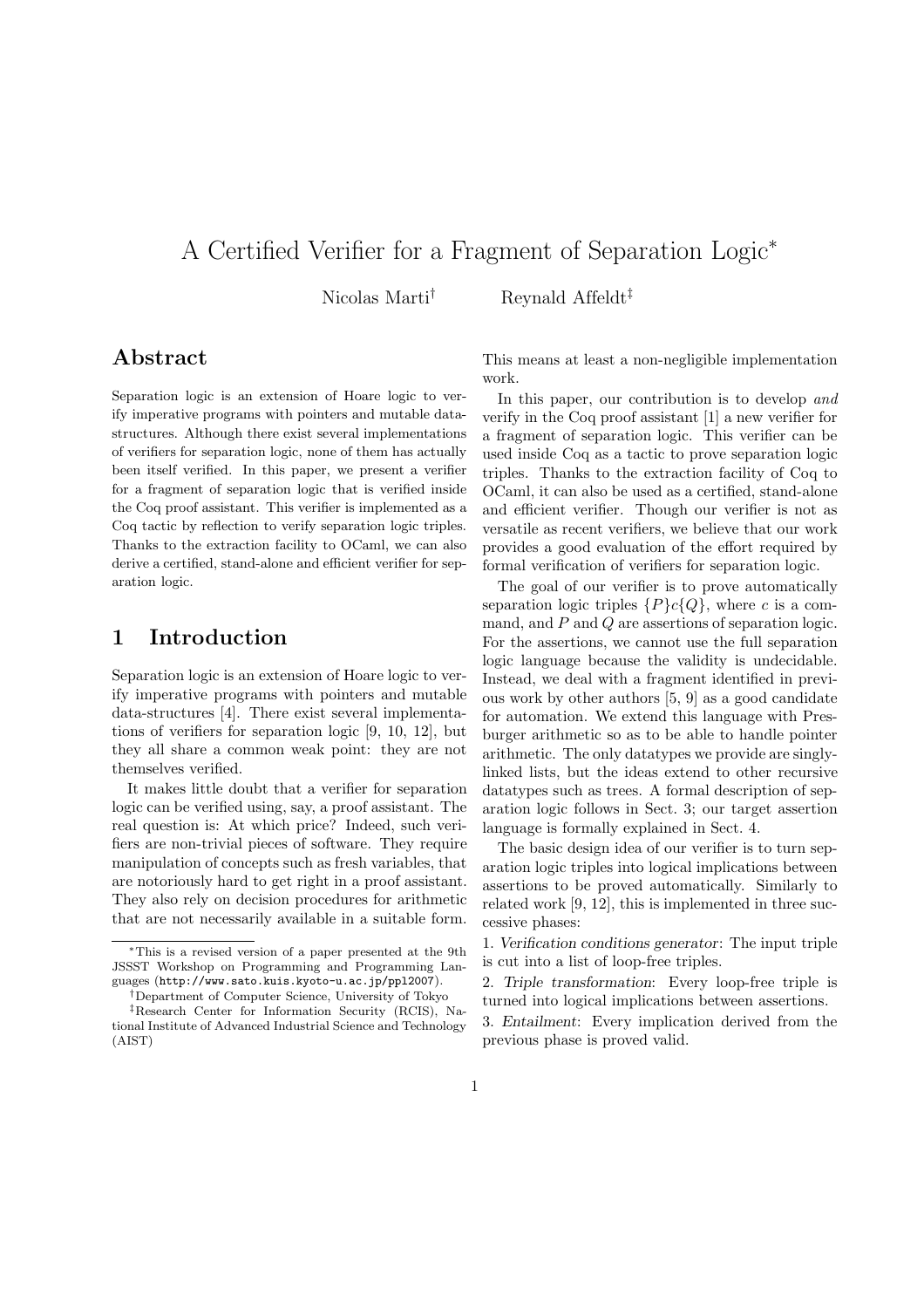# A Certified Verifier for a Fragment of Separation Logic<sup>∗</sup>

Nicolas Marti<sup>†</sup> Reynald Affeldt<sup>‡</sup>

## Abstract

Separation logic is an extension of Hoare logic to verify imperative programs with pointers and mutable datastructures. Although there exist several implementations of verifiers for separation logic, none of them has actually been itself verified. In this paper, we present a verifier for a fragment of separation logic that is verified inside the Coq proof assistant. This verifier is implemented as a Coq tactic by reflection to verify separation logic triples. Thanks to the extraction facility to OCaml, we can also derive a certified, stand-alone and efficient verifier for separation logic.

## 1 Introduction

Separation logic is an extension of Hoare logic to verify imperative programs with pointers and mutable data-structures [4]. There exist several implementations of verifiers for separation logic [9, 10, 12], but they all share a common weak point: they are not themselves verified.

It makes little doubt that a verifier for separation logic can be verified using, say, a proof assistant. The real question is: At which price? Indeed, such verifiers are non-trivial pieces of software. They require manipulation of concepts such as fresh variables, that are notoriously hard to get right in a proof assistant. They also rely on decision procedures for arithmetic that are not necessarily available in a suitable form. This means at least a non-negligible implementation work.

In this paper, our contribution is to develop and verify in the Coq proof assistant [1] a new verifier for a fragment of separation logic. This verifier can be used inside Coq as a tactic to prove separation logic triples. Thanks to the extraction facility of Coq to OCaml, it can also be used as a certified, stand-alone and efficient verifier. Though our verifier is not as versatile as recent verifiers, we believe that our work provides a good evaluation of the effort required by formal verification of verifiers for separation logic.

The goal of our verifier is to prove automatically separation logic triples  $\{P\}c\{Q\}$ , where c is a command, and P and Q are assertions of separation logic. For the assertions, we cannot use the full separation logic language because the validity is undecidable. Instead, we deal with a fragment identified in previous work by other authors [5, 9] as a good candidate for automation. We extend this language with Presburger arithmetic so as to be able to handle pointer arithmetic. The only datatypes we provide are singlylinked lists, but the ideas extend to other recursive datatypes such as trees. A formal description of separation logic follows in Sect. 3; our target assertion language is formally explained in Sect. 4.

The basic design idea of our verifier is to turn separation logic triples into logical implications between assertions to be proved automatically. Similarly to related work [9, 12], this is implemented in three successive phases:

1. Verification conditions generator: The input triple is cut into a list of loop-free triples.

2. Triple transformation: Every loop-free triple is turned into logical implications between assertions.

3. Entailment: Every implication derived from the previous phase is proved valid.

This is a revised version of a paper presented at the 9th JSSST Workshop on Programming and Programming Languages (http://www.sato.kuis.kyoto-u.ac.jp/ppl2007).

<sup>†</sup>Department of Computer Science, University of Tokyo ‡Research Center for Information Security (RCIS), National Institute of Advanced Industrial Science and Technology (AIST)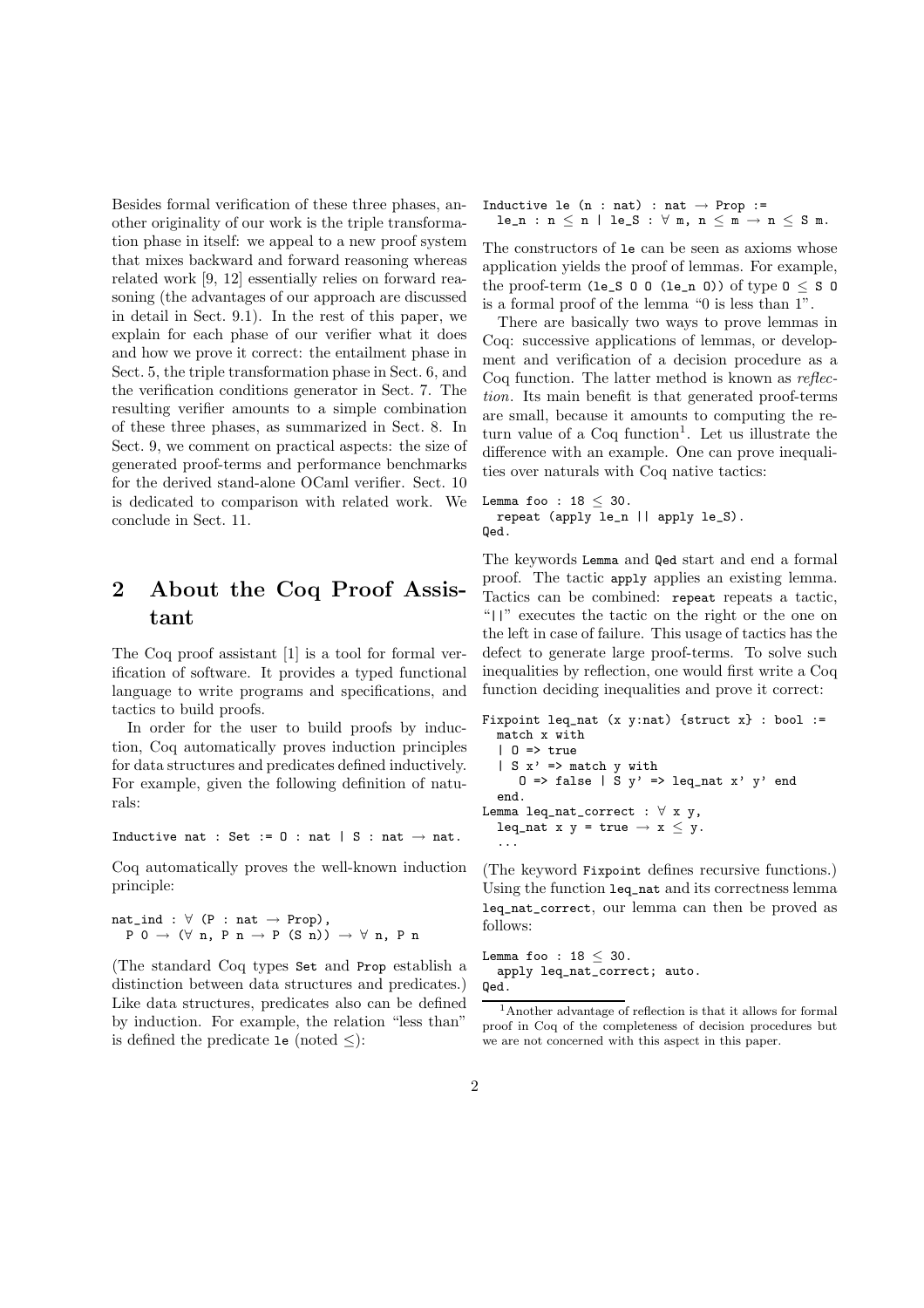Besides formal verification of these three phases, another originality of our work is the triple transformation phase in itself: we appeal to a new proof system that mixes backward and forward reasoning whereas related work [9, 12] essentially relies on forward reasoning (the advantages of our approach are discussed in detail in Sect. 9.1). In the rest of this paper, we explain for each phase of our verifier what it does and how we prove it correct: the entailment phase in Sect. 5, the triple transformation phase in Sect. 6, and the verification conditions generator in Sect. 7. The resulting verifier amounts to a simple combination of these three phases, as summarized in Sect. 8. In Sect. 9, we comment on practical aspects: the size of generated proof-terms and performance benchmarks for the derived stand-alone OCaml verifier. Sect. 10 is dedicated to comparison with related work. We conclude in Sect. 11.

# 2 About the Coq Proof Assistant

The Coq proof assistant [1] is a tool for formal verification of software. It provides a typed functional language to write programs and specifications, and tactics to build proofs.

In order for the user to build proofs by induction, Coq automatically proves induction principles for data structures and predicates defined inductively. For example, given the following definition of naturals:

Inductive nat : Set :=  $0$  : nat | S : nat  $\rightarrow$  nat.

Coq automatically proves the well-known induction principle:

 $nat\_ind : \forall (P : nat \rightarrow Prop),$  $P 0 \rightarrow (\forall n, P n \rightarrow P (S n)) \rightarrow \forall n, P n$ 

(The standard Coq types Set and Prop establish a distinction between data structures and predicates.) Like data structures, predicates also can be defined by induction. For example, the relation "less than" is defined the predicate le (noted  $\leq$ ):

Inductive le  $(n : nat) : nat \rightarrow Prop :=$  $le\_n : n \le n \mid le\_S : \forall m, n \le m \rightarrow n \le S m.$ 

The constructors of le can be seen as axioms whose application yields the proof of lemmas. For example, the proof-term (le\_S  $0 \cup 0$  (le\_n  $0$ )) of type  $0 \leq S$  0 is a formal proof of the lemma "0 is less than 1".

There are basically two ways to prove lemmas in Coq: successive applications of lemmas, or development and verification of a decision procedure as a Coq function. The latter method is known as reflection. Its main benefit is that generated proof-terms are small, because it amounts to computing the return value of a Coq function<sup>1</sup>. Let us illustrate the difference with an example. One can prove inequalities over naturals with Coq native tactics:

```
Lemma foo : 18 \leq 30.
  repeat (apply le_n || apply le_S).
Qed.
```
The keywords Lemma and Qed start and end a formal proof. The tactic apply applies an existing lemma. Tactics can be combined: repeat repeats a tactic, "||" executes the tactic on the right or the one on the left in case of failure. This usage of tactics has the defect to generate large proof-terms. To solve such inequalities by reflection, one would first write a Coq function deciding inequalities and prove it correct:

```
Fixpoint leq_nat (x y:nat) {struct x} : bool :=
  match x with
  | 0 \Rightarrow true| S x' \implies match y with
     0 \Rightarrow false | S y' => leq_nat x' y' end
  end.
Lemma leq_nat_correct : \forall x y,
  leq_nat x y = true \rightarrow x \le y.
  ...
```
(The keyword Fixpoint defines recursive functions.) Using the function leq\_nat and its correctness lemma leq\_nat\_correct, our lemma can then be proved as follows:

Lemma foo :  $18 < 30$ . apply leq\_nat\_correct; auto. Qed.

<sup>1</sup>Another advantage of reflection is that it allows for formal proof in Coq of the completeness of decision procedures but we are not concerned with this aspect in this paper.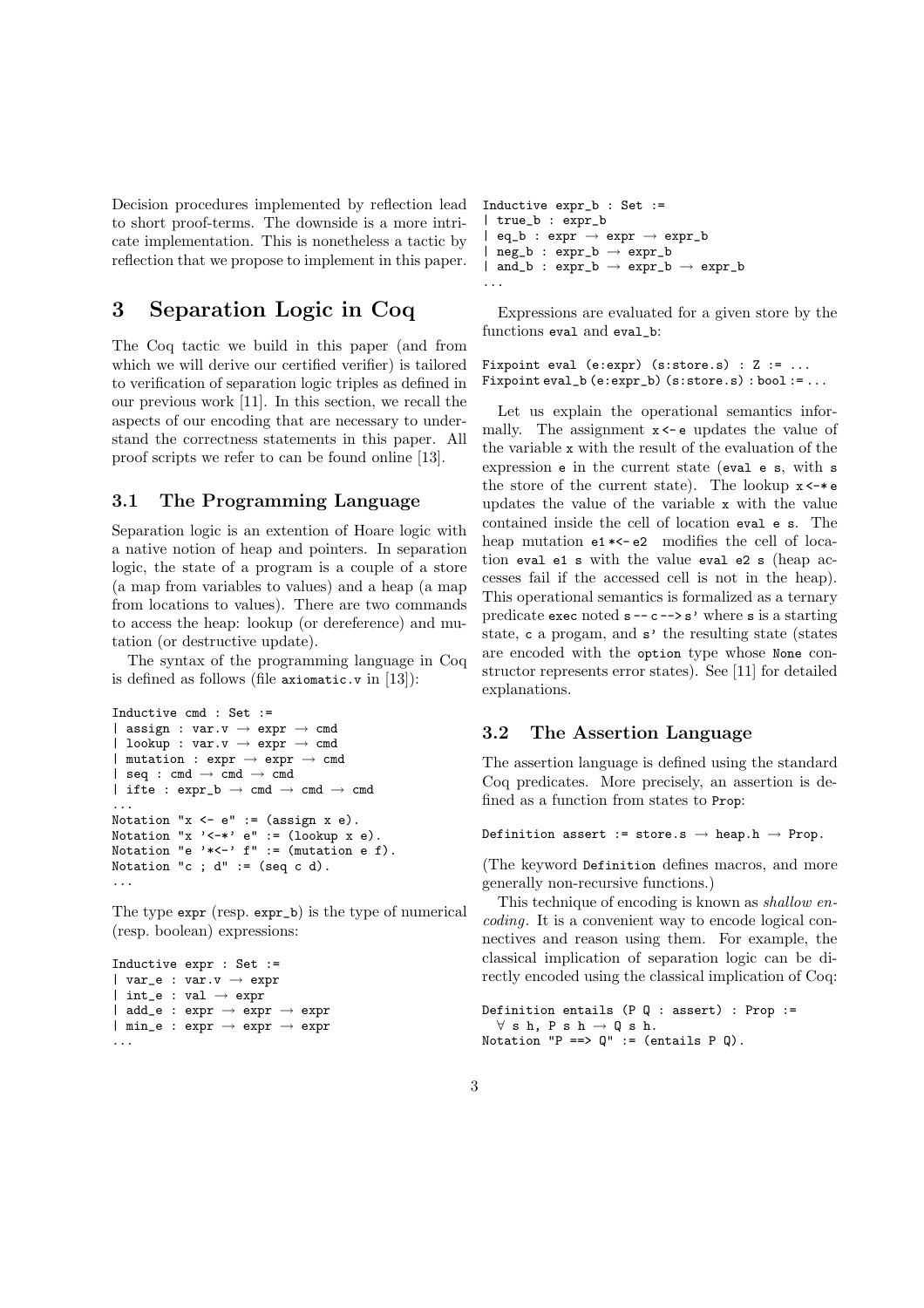Decision procedures implemented by reflection lead to short proof-terms. The downside is a more intricate implementation. This is nonetheless a tactic by reflection that we propose to implement in this paper.

## 3 Separation Logic in Coq

The Coq tactic we build in this paper (and from which we will derive our certified verifier) is tailored to verification of separation logic triples as defined in our previous work [11]. In this section, we recall the aspects of our encoding that are necessary to understand the correctness statements in this paper. All proof scripts we refer to can be found online [13].

### 3.1 The Programming Language

Separation logic is an extention of Hoare logic with a native notion of heap and pointers. In separation logic, the state of a program is a couple of a store (a map from variables to values) and a heap (a map from locations to values). There are two commands to access the heap: lookup (or dereference) and mutation (or destructive update).

The syntax of the programming language in Coq is defined as follows (file axiomatic.v in [13]):

```
Inductive cmd : Set :=
| assign : var.v \rightarrow expr \rightarrow cmd| lookup : var.v \rightarrow expr \rightarrow cmd
| mutation : expr \rightarrow expr \rightarrow cmd| seq : cmd \rightarrow cmd \rightarrow cmd
| ifte : expr_b \rightarrow cmd \rightarrow cmd...
Notation "x \leftarrow e' := (assign x e).
Notation "x \prime -*' e" := (lookup x e).
Notation "e '*<-' f'' := (mutation e f).
Notation "c ; d" := (seq c d).
...
```
The type expr (resp. expr\_b) is the type of numerical (resp. boolean) expressions:

```
Inductive expr : Set :=
| var_e : var.v \rightarrow expr
| int_e : val \rightarrow expr
\vert add_e : expr \rightarrow expr \rightarrow expr
| min_e : expr \rightarrow expr \rightarrow expr
...
```

```
Inductive expr_b : Set :=
  | true_b : expr_b
  eq_b : expr \rightarrow expr \rightarrow expr_b| neg_b : expr_b \rightarrow expr_b
| and_b : expr_b \rightarrow expr_b \rightarrow expr_b
...
```
Expressions are evaluated for a given store by the functions eval and eval\_b:

Fixpoint eval (e:expr) (s:store.s) : Z := ... Fixpoint eval\_b (e:expr\_b) (s:store.s) : bool := ...

Let us explain the operational semantics informally. The assignment  $x \leftarrow e$  updates the value of the variable x with the result of the evaluation of the expression e in the current state (eval e s, with s the store of the current state). The lookup  $x \leftarrow * e$ updates the value of the variable x with the value contained inside the cell of location eval e s. The heap mutation  $e1 * < -e2$  modifies the cell of location eval e1 s with the value eval e2 s (heap accesses fail if the accessed cell is not in the heap). This operational semantics is formalized as a ternary predicate exec noted  $s -- c -> s'$  where s is a starting state, c a progam, and s' the resulting state (states are encoded with the option type whose None constructor represents error states). See [11] for detailed explanations.

### 3.2 The Assertion Language

The assertion language is defined using the standard Coq predicates. More precisely, an assertion is defined as a function from states to Prop:

```
Definition assert := store.s \rightarrow heap.h \rightarrow Prop.
```
(The keyword Definition defines macros, and more generally non-recursive functions.)

This technique of encoding is known as shallow encoding. It is a convenient way to encode logical connectives and reason using them. For example, the classical implication of separation logic can be directly encoded using the classical implication of Coq:

```
Definition entails (P Q : assert) : Prop :=
  \forall s h, P s h \rightarrow Q s h.
Notation "P ==> Q'' := (entails P Q).
```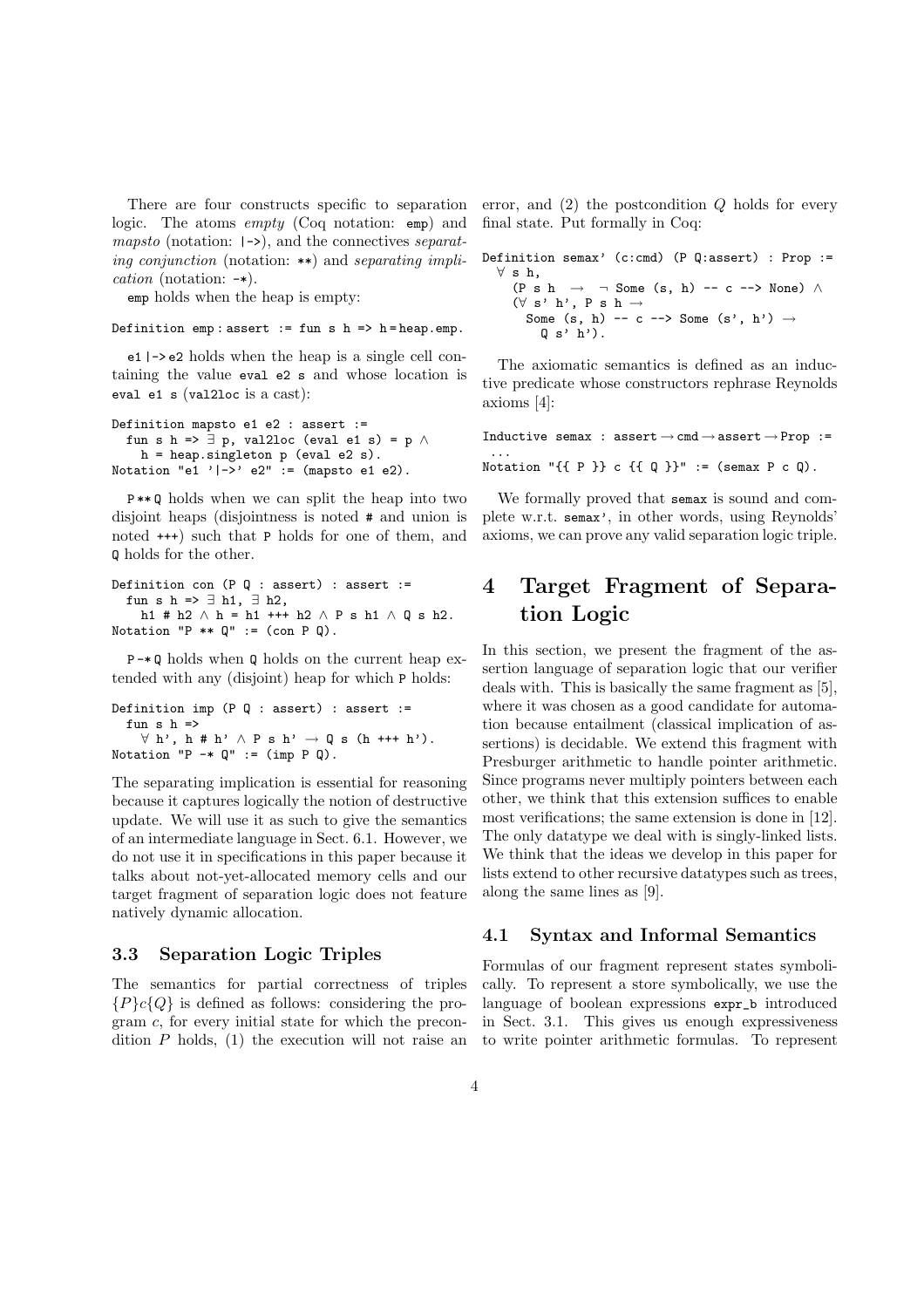There are four constructs specific to separation logic. The atoms empty (Coq notation: emp) and *mapsto* (notation:  $| \rightarrow \rangle$ ), and the connectives *separat*ing conjunction (notation:  $**$ ) and separating implication (notation: -\*).

emp holds when the heap is empty:

```
Definition emp: assert := fun s h = h = heap.emp.
```
e1 |-> e2 holds when the heap is a single cell containing the value eval e2 s and whose location is eval e1 s (val2loc is a cast):

```
Definition mapsto e1 e2 : assert :=
  fun s h => \exists p, val2loc (eval e1 s) = p \landh = heap.singleton p (eval e2 s).
Notation "e1 '|\rightarrow' e2" := (mapsto e1 e2).
```
P \*\* Q holds when we can split the heap into two disjoint heaps (disjointness is noted # and union is noted +++) such that P holds for one of them, and Q holds for the other.

```
Definition con (P \ Q : assert) : assert :=
  fun s h => \exists h1, \exists h2,
    h1 # h2 \land h = h1 +++ h2 \land P s h1 \land Q s h2.
Notation "P ** Q" := (con P Q).
```
P -\* Q holds when Q holds on the current heap extended with any (disjoint) heap for which P holds:

```
Definition imp (P Q : assert) : assert :=
  fun s h =\forall h', h # h' \land P s h' \rightarrow Q s (h +++ h').
Notation P \rightarrow Q' := (imp P Q).
```
The separating implication is essential for reasoning because it captures logically the notion of destructive update. We will use it as such to give the semantics of an intermediate language in Sect. 6.1. However, we do not use it in specifications in this paper because it talks about not-yet-allocated memory cells and our target fragment of separation logic does not feature natively dynamic allocation.

### 3.3 Separation Logic Triples

The semantics for partial correctness of triples  ${P}c{Q}$  is defined as follows: considering the program c, for every initial state for which the precondition  $P$  holds, (1) the execution will not raise an error, and  $(2)$  the postcondition Q holds for every final state. Put formally in Coq:

| Definition semax' (c:cmd) (P Q:assert) : Prop :=                   |  |
|--------------------------------------------------------------------|--|
| $\forall$ s h.                                                     |  |
| $(P \shd h \rightarrow \neg$ Some $(s, h)$ -- c --> None) $\wedge$ |  |
| $(\forall s' h'. P s h \rightarrow$                                |  |
| Some $(s, h)$ -- c --> Some $(s', h') \rightarrow$                 |  |
| $\left[0, s' \right]$ h').                                         |  |
|                                                                    |  |

The axiomatic semantics is defined as an inductive predicate whose constructors rephrase Reynolds axioms [4]:

Inductive semax : assert  $\rightarrow$  cmd  $\rightarrow$  assert  $\rightarrow$  Prop := ... Notation " $\{ \{ P \} \}$  c  $\{ \{ Q \} \}$ " := (semax P c Q).

We formally proved that semax is sound and complete w.r.t. semax', in other words, using Reynolds' axioms, we can prove any valid separation logic triple.

# 4 Target Fragment of Separation Logic

In this section, we present the fragment of the assertion language of separation logic that our verifier deals with. This is basically the same fragment as [5], where it was chosen as a good candidate for automation because entailment (classical implication of assertions) is decidable. We extend this fragment with Presburger arithmetic to handle pointer arithmetic. Since programs never multiply pointers between each other, we think that this extension suffices to enable most verifications; the same extension is done in [12]. The only datatype we deal with is singly-linked lists. We think that the ideas we develop in this paper for lists extend to other recursive datatypes such as trees, along the same lines as [9].

### 4.1 Syntax and Informal Semantics

Formulas of our fragment represent states symbolically. To represent a store symbolically, we use the language of boolean expressions expr\_b introduced in Sect. 3.1. This gives us enough expressiveness to write pointer arithmetic formulas. To represent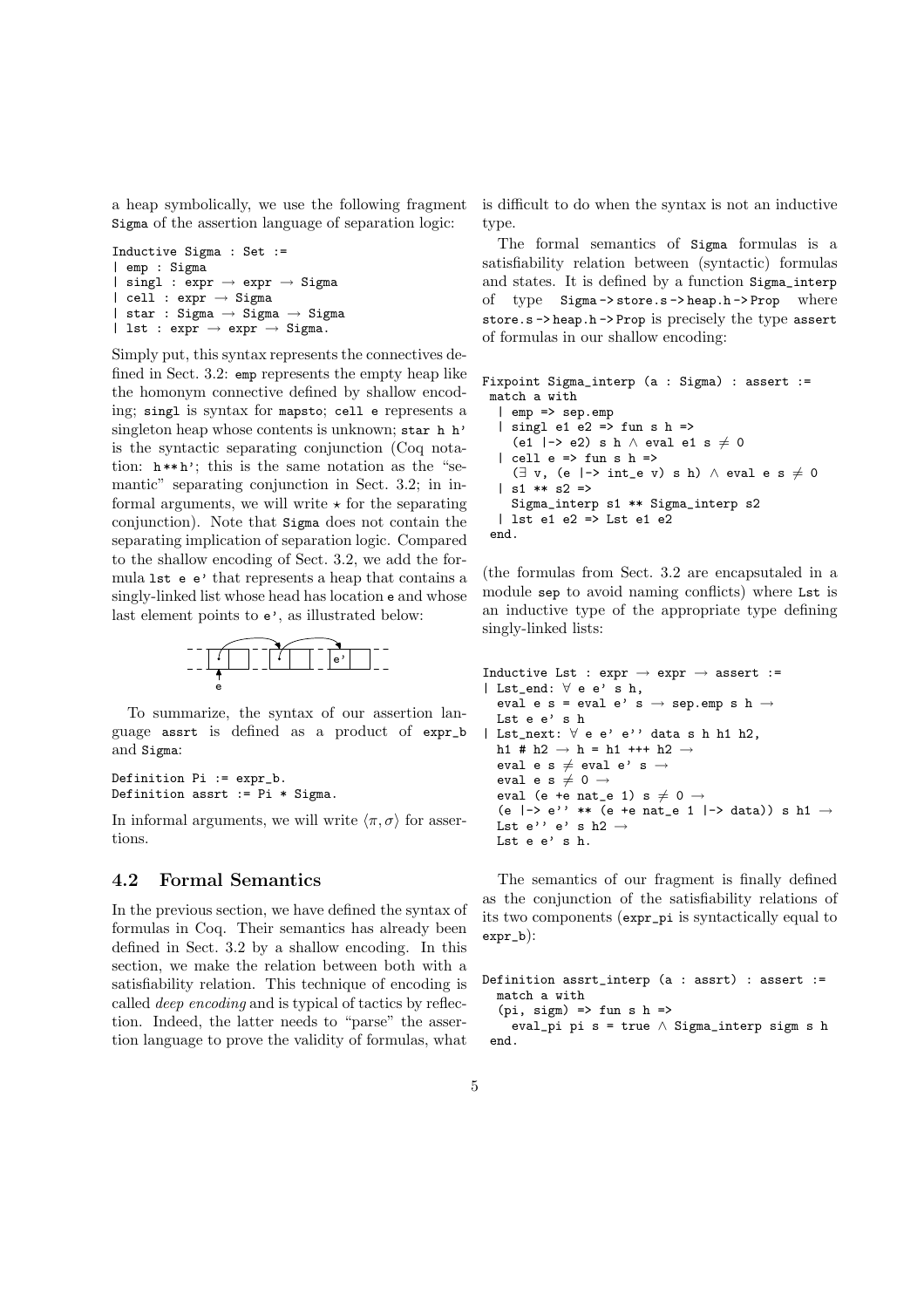a heap symbolically, we use the following fragment Sigma of the assertion language of separation logic:

```
Inductive Sigma : Set :=
| emp : Sigma
| singl : expr \rightarrow expr \rightarrow Sigma
| cell : expr \rightarrow Sigma
| star : Sigma → Sigma → Sigma
| lst : expr \rightarrow expr \rightarrow Sigma.
```
Simply put, this syntax represents the connectives defined in Sect. 3.2: emp represents the empty heap like the homonym connective defined by shallow encoding; singl is syntax for mapsto; cell e represents a singleton heap whose contents is unknown; star h h' is the syntactic separating conjunction (Coq notation:  $h**h'$ ; this is the same notation as the "semantic" separating conjunction in Sect. 3.2; in informal arguments, we will write  $\star$  for the separating conjunction). Note that Sigma does not contain the separating implication of separation logic. Compared to the shallow encoding of Sect. 3.2, we add the formula lst e e' that represents a heap that contains a singly-linked list whose head has location e and whose last element points to e', as illustrated below:



To summarize, the syntax of our assertion language assrt is defined as a product of expr\_b and Sigma:

Definition Pi := expr\_b. Definition assrt := Pi \* Sigma.

In informal arguments, we will write  $\langle \pi, \sigma \rangle$  for assertions.

### 4.2 Formal Semantics

In the previous section, we have defined the syntax of formulas in Coq. Their semantics has already been defined in Sect. 3.2 by a shallow encoding. In this section, we make the relation between both with a satisfiability relation. This technique of encoding is called deep encoding and is typical of tactics by reflection. Indeed, the latter needs to "parse" the assertion language to prove the validity of formulas, what is difficult to do when the syntax is not an inductive type.

The formal semantics of Sigma formulas is a satisfiability relation between (syntactic) formulas and states. It is defined by a function Sigma\_interp of type Sigma -> store.s -> heap.h -> Prop where store.s -> heap.h -> Prop is precisely the type assert of formulas in our shallow encoding:

```
Fixpoint Sigma_interp (a : Sigma) : assert :=
 match a with
  | emp => sep.emp
  | singl e1 e2 => fun s h =>
    (e1 |-> e2) s h \wedge eval e1 s \neq 0
  | cell e => fun s h =>
    (\exists v, (e \mid -> int_e v) s h) \wedge eval e s \neq 0| s1 ** s2 =>
    Sigma_interp s1 ** Sigma_interp s2
  | lst e1 e2 => Lst e1 e2
 end.
```
(the formulas from Sect. 3.2 are encapsutaled in a module sep to avoid naming conflicts) where Lst is an inductive type of the appropriate type defining singly-linked lists:

```
Inductive Lst : expr \rightarrow expr \rightarrow assert :=
| Lst_end: ∀ e e' s h,
  eval e s = eval e' s \rightarrow sep.emp s h \rightarrowLst e e' s h
| Lst_next: ∀ e e' e'' data s h h1 h2,
  h1 # h2 \rightarrow h = h1 +++ h2 \rightarroweval e s \neq eval e' s \rightarroweval e s \neq 0 \rightarroweval (e +e nat_e 1) s \neq 0 \rightarrow(e |-> e'' ** (e +e nat_e 1 |-> data)) s h1 \rightarrowLst e'' e' s h2 \rightarrowLst e e' s h.
```
The semantics of our fragment is finally defined as the conjunction of the satisfiability relations of its two components (expr\_pi is syntactically equal to expr\_b):

```
Definition assrt_interp (a : assrt) : assert :=
  match a with
  (pi, sign) \Rightarrow fun s h \Rightarroweval_pi pi s = true ∧ Sigma_interp sigm s h
 end.
```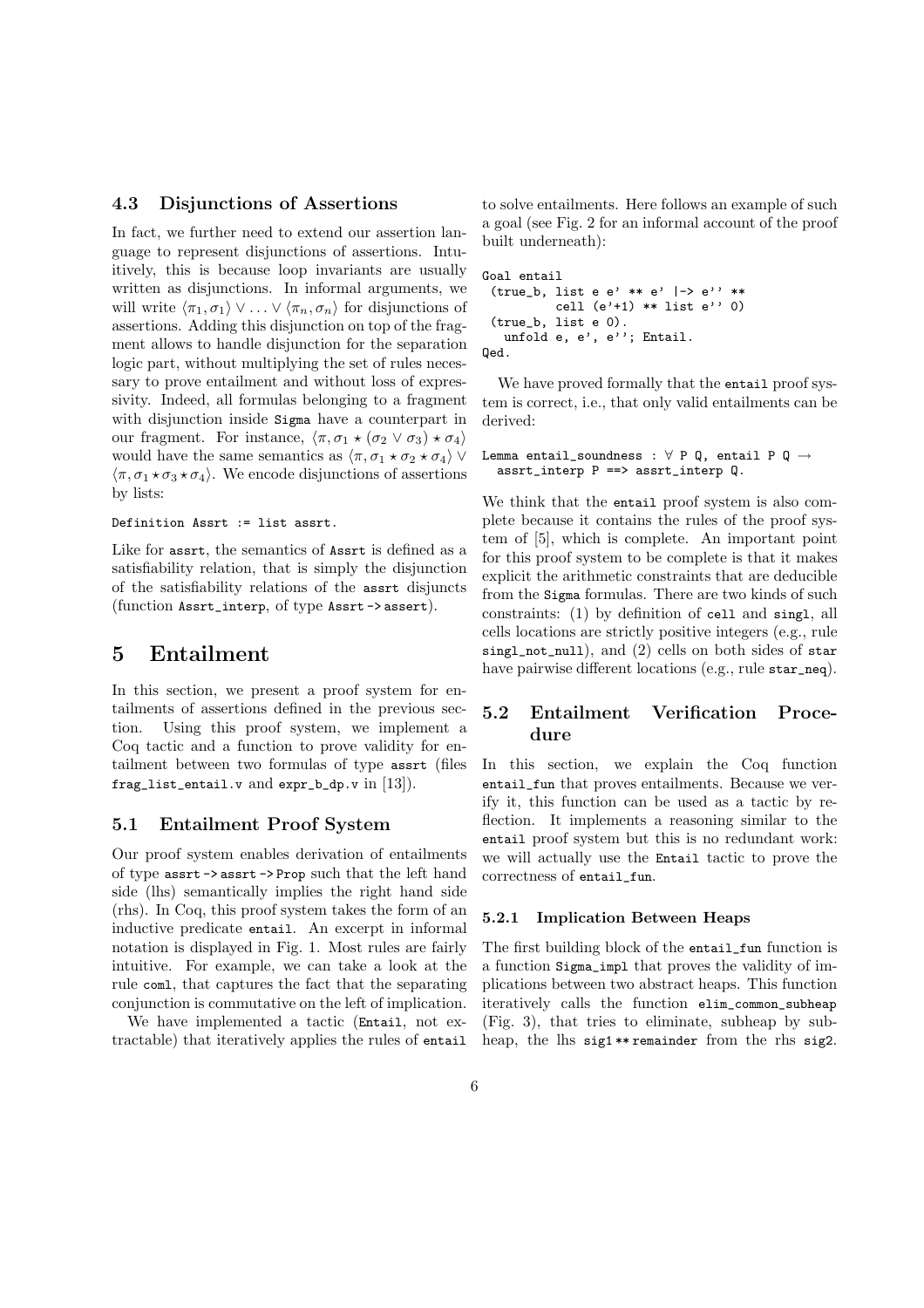### 4.3 Disjunctions of Assertions

In fact, we further need to extend our assertion language to represent disjunctions of assertions. Intuitively, this is because loop invariants are usually written as disjunctions. In informal arguments, we will write  $\langle \pi_1, \sigma_1 \rangle \vee \ldots \vee \langle \pi_n, \sigma_n \rangle$  for disjunctions of assertions. Adding this disjunction on top of the fragment allows to handle disjunction for the separation logic part, without multiplying the set of rules necessary to prove entailment and without loss of expressivity. Indeed, all formulas belonging to a fragment with disjunction inside Sigma have a counterpart in our fragment. For instance,  $\langle \pi, \sigma_1 \star (\sigma_2 \vee \sigma_3) \star \sigma_4 \rangle$ would have the same semantics as  $\langle \pi, \sigma_1 \star \sigma_2 \star \sigma_4 \rangle$   $\vee$  $\langle \pi, \sigma_1 \star \sigma_3 \star \sigma_4 \rangle$ . We encode disjunctions of assertions by lists:

Definition Assrt := list assrt.

Like for assrt, the semantics of Assrt is defined as a satisfiability relation, that is simply the disjunction of the satisfiability relations of the assrt disjuncts (function Assrt\_interp, of type Assrt -> assert).

## 5 Entailment

In this section, we present a proof system for entailments of assertions defined in the previous section. Using this proof system, we implement a Coq tactic and a function to prove validity for entailment between two formulas of type assrt (files frag\_list\_entail.v and  $expr_b_d$ , v in [13]).

### 5.1 Entailment Proof System

Our proof system enables derivation of entailments of type assrt -> assrt -> Prop such that the left hand side (lhs) semantically implies the right hand side (rhs). In Coq, this proof system takes the form of an inductive predicate entail. An excerpt in informal notation is displayed in Fig. 1. Most rules are fairly intuitive. For example, we can take a look at the rule coml, that captures the fact that the separating conjunction is commutative on the left of implication.

We have implemented a tactic (Entail, not extractable) that iteratively applies the rules of entail

to solve entailments. Here follows an example of such a goal (see Fig. 2 for an informal account of the proof built underneath):

```
Goal entail
 (true_b, list e e' ** e' |-> e'' **
          cell (e'+1) ** list e'' 0)
 (true_b, list e 0).
  unfold e, e', e''; Entail.
Qed.
```
We have proved formally that the entail proof system is correct, i.e., that only valid entailments can be derived:

```
Lemma entail_soundness : \forall P Q, entail P Q \rightarrowassert_interp P == > assrt_interp Q.
```
We think that the entail proof system is also complete because it contains the rules of the proof system of [5], which is complete. An important point for this proof system to be complete is that it makes explicit the arithmetic constraints that are deducible from the Sigma formulas. There are two kinds of such constraints: (1) by definition of cell and singl, all cells locations are strictly positive integers (e.g., rule singl\_not\_null), and (2) cells on both sides of star have pairwise different locations (e.g., rule star\_neq).

## 5.2 Entailment Verification Procedure

In this section, we explain the Coq function entail\_fun that proves entailments. Because we verify it, this function can be used as a tactic by reflection. It implements a reasoning similar to the entail proof system but this is no redundant work: we will actually use the Entail tactic to prove the correctness of entail\_fun.

#### 5.2.1 Implication Between Heaps

The first building block of the entail\_fun function is a function Sigma\_impl that proves the validity of implications between two abstract heaps. This function iteratively calls the function elim\_common\_subheap (Fig. 3), that tries to eliminate, subheap by subheap, the lhs sig1 \*\* remainder from the rhs sig2.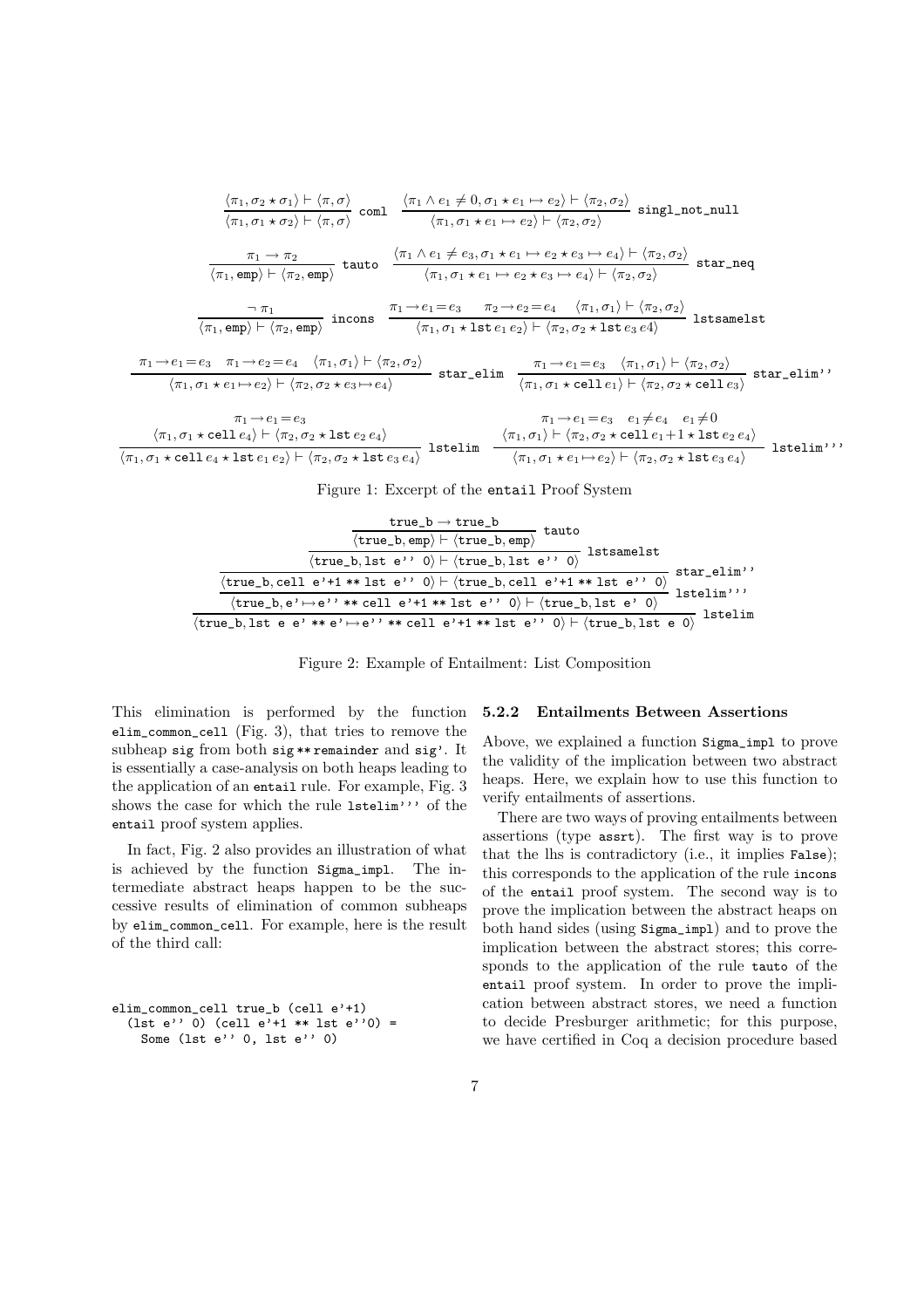$$
\frac{\langle \pi_1, \sigma_2 \star \sigma_1 \rangle \vdash \langle \pi, \sigma \rangle}{\langle \pi_1, \sigma_1 \star \sigma_2 \rangle \vdash \langle \pi, \sigma \rangle} \text{ coml } \frac{\langle \pi_1 \land e_1 \neq 0, \sigma_1 \star e_1 \mapsto e_2 \rangle \vdash \langle \pi_2, \sigma_2 \rangle}{\langle \pi_1, \sigma_1 \star e_1 \mapsto e_2 \rangle \vdash \langle \pi_2, \sigma_2 \rangle} \text{ singl\_not\_null}
$$
\n
$$
\frac{\pi_1 \rightarrow \pi_2}{\langle \pi_1, \text{emp} \rangle \vdash \langle \pi_2, \text{emp} \rangle} \text{ tauto } \frac{\langle \pi_1 \land e_1 \neq e_3, \sigma_1 \star e_1 \mapsto e_2 \star e_3 \mapsto e_4 \rangle \vdash \langle \pi_2, \sigma_2 \rangle}{\langle \pi_1, \sigma_1 \star e_1 \mapsto e_2 \star e_3 \mapsto e_4 \rangle \vdash \langle \pi_2, \sigma_2 \rangle} \text{ star\_neq}
$$
\n
$$
\frac{\pi_1}{\langle \pi_1, \text{emp} \rangle \vdash \langle \pi_2, \text{emp} \rangle} \text{ in cons } \frac{\pi_1 \rightarrow e_1 = e_3 \quad \pi_2 \rightarrow e_2 = e_4 \quad \langle \pi_1, \sigma_1 \rangle \vdash \langle \pi_2, \sigma_2 \rangle}{\langle \pi_1, \sigma_1 \star \text{ lste}_1 \text{ e}_2 \rangle \vdash \langle \pi_2, \sigma_2 \star \text{ lste}_2 \text{ e}_4 \rangle} \text{ lstsamelst}
$$
\n
$$
\frac{\pi_1 \rightarrow e_1 = e_3 \quad \pi_1 \rightarrow e_2 = e_4 \quad \langle \pi_1, \sigma_1 \rangle \vdash \langle \pi_2, \sigma_2 \rangle}{\langle \pi_1, \sigma_1 \star e_1 \mapsto e_2 \rangle \vdash \langle \pi_2, \sigma_2 \star e_3 \mapsto e_4 \rangle} \text{ star\_elin } \frac{\pi_1 \rightarrow e_1 = e_3 \quad \langle \pi_1, \sigma_1 \rangle \vdash \langle \pi_2, \sigma_2 \rangle}{\langle \pi_1, \sigma_1 \star e_1 \mapsto e_2 \rangle \vdash \langle \pi_2, \sigma_2 \star \
$$

Figure 1: Excerpt of the entail Proof System

| true_b $\rightarrow$ true_b<br>tauto<br>$\langle true_b, emp \rangle \vdash \langle true_b, emp \rangle$<br>lstsamelst<br>$\langle \mathtt{true\_b}, \mathtt{lst}\ \mathtt{e'} \, ,\ 0 \rangle \vdash \langle \mathtt{true\_b}, \mathtt{lst}\ \mathtt{e'} \, ,\ 0 \rangle$ |                           |
|----------------------------------------------------------------------------------------------------------------------------------------------------------------------------------------------------------------------------------------------------------------------------|---------------------------|
| $\langle true\_b, cell e' + 1**1st e'': 0 \rangle \vdash \langle true\_b, cell e' + 1**1st e'': 0 \rangle$                                                                                                                                                                 | star_elim''<br>lstelim''' |
| $\langle true\_b, e \rangle \mapsto e'$ '** cell e'+1 ** lst e'' 0 $\rangle \vdash \langle true\_b, \text{lst } e \rangle$ 0)<br>$\langle true_b, 1st e e' ** e' \rightarrow e' * * cell e' + 1 ** 1st e' \rangle \rightarrow \langle true_b, 1st e 0 \rangle$             | lstelim                   |

Figure 2: Example of Entailment: List Composition

This elimination is performed by the function elim\_common\_cell (Fig. 3), that tries to remove the subheap sig from both sig \*\* remainder and sig'. It is essentially a case-analysis on both heaps leading to the application of an entail rule. For example, Fig. 3 shows the case for which the rule lstelim''' of the entail proof system applies.

In fact, Fig. 2 also provides an illustration of what is achieved by the function Sigma\_impl. The intermediate abstract heaps happen to be the successive results of elimination of common subheaps by elim\_common\_cell. For example, here is the result of the third call:

```
elim_common_cell true_b (cell e'+1)
  (lst e'' 0) (cell e'+1 ** lst e''0) =
   Some (lst e'' 0, lst e'' 0)
```
#### 5.2.2 Entailments Between Assertions

Above, we explained a function Sigma\_impl to prove the validity of the implication between two abstract heaps. Here, we explain how to use this function to verify entailments of assertions.

There are two ways of proving entailments between assertions (type assrt). The first way is to prove that the lhs is contradictory (i.e., it implies False); this corresponds to the application of the rule incons of the entail proof system. The second way is to prove the implication between the abstract heaps on both hand sides (using Sigma\_impl) and to prove the implication between the abstract stores; this corresponds to the application of the rule tauto of the entail proof system. In order to prove the implication between abstract stores, we need a function to decide Presburger arithmetic; for this purpose, we have certified in Coq a decision procedure based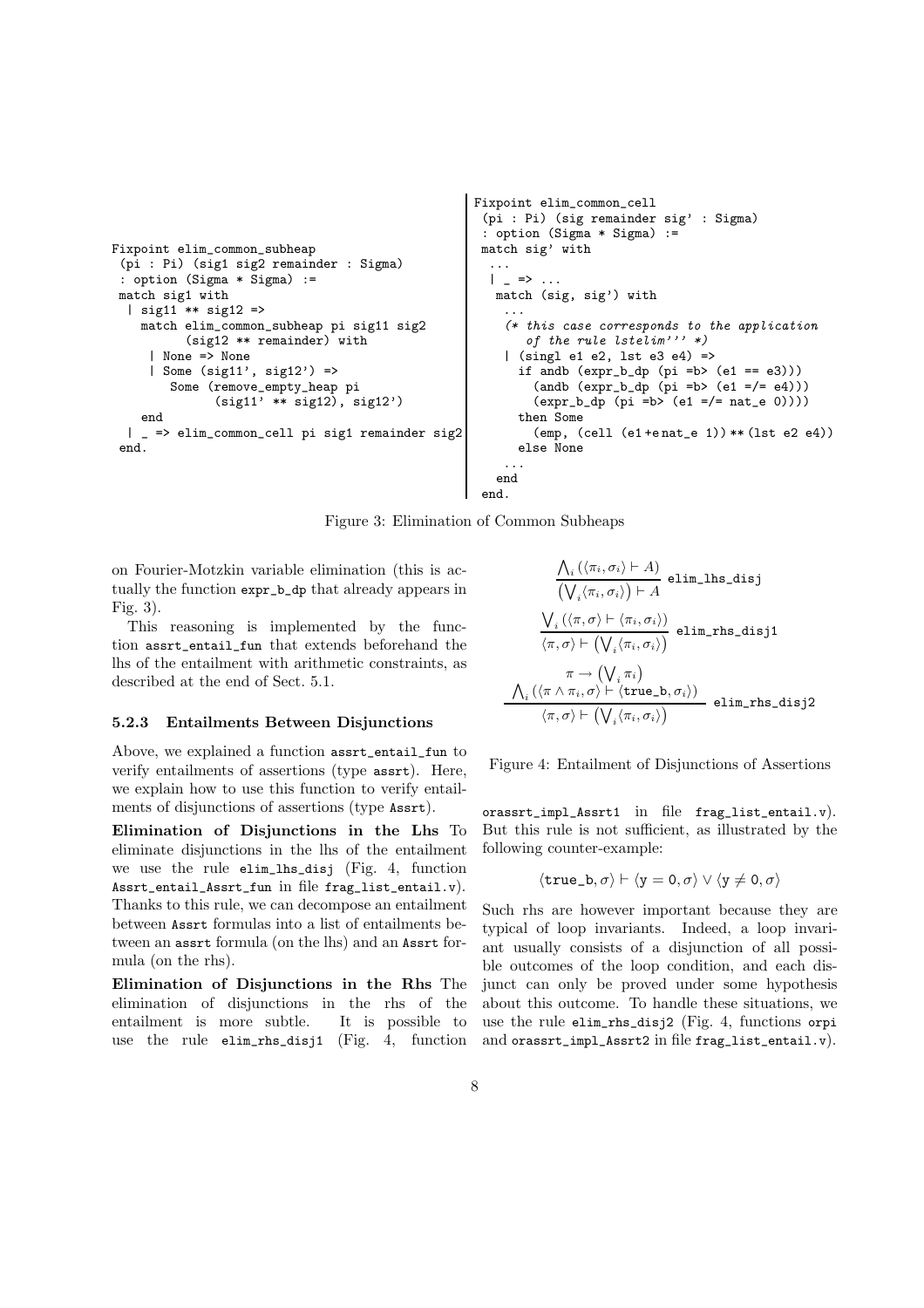```
Fixpoint elim_common_subheap
 (pi : Pi) (sig1 sig2 remainder : Sigma)
 : option (Sigma * Sigma) :=
match sig1 with
  | sig11 ** sig12 =>
    match elim_common_subheap pi sig11 sig2
           (sig12 ** remainder) with
     | None => None
     | Some (sig11', sig12') =>
        Some (remove_empty_heap pi
               (sight1' * * sig12), sig12')end
  | _ => elim_common_cell pi sig1 remainder sig2
 end.
                                                        (pi : Pi) (sig remainder sig' : Sigma)
                                                        : option (Sigma * Sigma) :=
                                                        match sig' with
                                                         ...
                                                         |\quad \Rightarrow \quad \dotsmatch (sig, sig') with
                                                            ...
                                                            (* this case corresponds to the application
                                                               of the rule lstelim''' *)
                                                            | (singl e1 e2, lst e3 e4) =>
                                                             if andb (\text{expr\_b\_dp} (pi = b) (e1 == e3)))(\text{andb } (\text{expr}\_\text{b\_dp} (pi = b) (e1 = / = e4)))(exp_b_d p (pi = b) (e1 = / = nat_e 0))))then Some
                                                                (emp, (cell (e1 +e nat_e 1)) ** (lst e2 e4))
                                                             else None
                                                            ...
                                                          end
                                                        end.
```
Fixpoint elim\_common\_cell

Figure 3: Elimination of Common Subheaps

on Fourier-Motzkin variable elimination (this is actually the function expr\_b\_dp that already appears in Fig. 3).

This reasoning is implemented by the function assrt\_entail\_fun that extends beforehand the lhs of the entailment with arithmetic constraints, as described at the end of Sect. 5.1.

#### 5.2.3 Entailments Between Disjunctions

Above, we explained a function assrt\_entail\_fun to verify entailments of assertions (type assrt). Here, we explain how to use this function to verify entailments of disjunctions of assertions (type Assrt).

Elimination of Disjunctions in the Lhs To eliminate disjunctions in the lhs of the entailment we use the rule elim\_lhs\_disj (Fig. 4, function Assrt\_entail\_Assrt\_fun in file frag\_list\_entail.v). Thanks to this rule, we can decompose an entailment between Assrt formulas into a list of entailments between an assrt formula (on the lhs) and an Assrt formula (on the rhs).

Elimination of Disjunctions in the Rhs The elimination of disjunctions in the rhs of the entailment is more subtle. It is possible to use the rule elim\_rhs\_disj1 (Fig. 4, function

$$
\frac{\bigwedge_i (\langle \pi_i, \sigma_i \rangle \vdash A)}{\big(\bigvee_i \langle \pi_i, \sigma_i \rangle \big) \vdash A} \text{ elim\_lhs\_disj} \\[1.5ex] \frac{\bigvee_i \big( \langle \pi, \sigma \rangle \vdash \langle \pi_i, \sigma_i \rangle \big)}{\langle \pi, \sigma \rangle \vdash \big(\bigvee_i \langle \pi_i, \sigma_i \rangle \big)} \text{ elim\_rhs\_disj1} \\[1.5ex] \frac{\pi \rightarrow \big( \bigvee_i \pi_i \big)}{\langle \pi, \sigma \rangle \vdash \langle \text{true\_b}, \sigma_i \rangle \rangle} \text{ elim\_rhs\_disj2} \\[1.5ex]
$$

Figure 4: Entailment of Disjunctions of Assertions

orassrt\_impl\_Assrt1 in file frag\_list\_entail.v). But this rule is not sufficient, as illustrated by the following counter-example:

$$
\langle \text{true\_b}, \sigma \rangle \vdash \langle y = 0, \sigma \rangle \lor \langle y \neq 0, \sigma \rangle
$$

Such rhs are however important because they are typical of loop invariants. Indeed, a loop invariant usually consists of a disjunction of all possible outcomes of the loop condition, and each disjunct can only be proved under some hypothesis about this outcome. To handle these situations, we use the rule elim\_rhs\_disj2 (Fig. 4, functions orpi and orassrt\_impl\_Assrt2 in file frag\_list\_entail.v).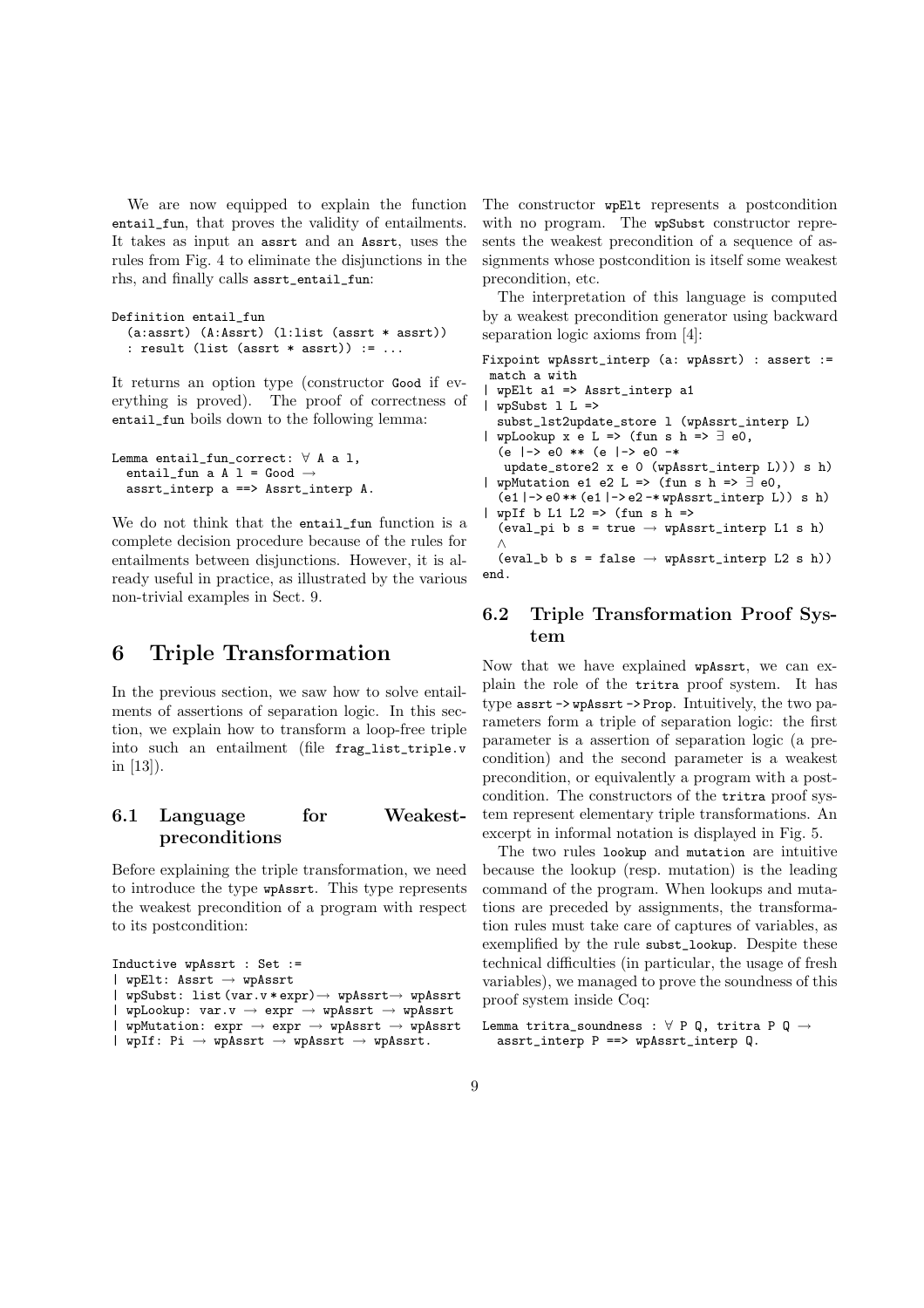We are now equipped to explain the function entail\_fun, that proves the validity of entailments. It takes as input an assrt and an Assrt, uses the rules from Fig. 4 to eliminate the disjunctions in the rhs, and finally calls assrt\_entail\_fun:

```
Definition entail_fun
  (a:assrt) (A:Assrt) (l:list (assrt * assrt))
  : result (list (assrt * assrt)) := ...
```
It returns an option type (constructor Good if everything is proved). The proof of correctness of entail\_fun boils down to the following lemma:

```
Lemma entail_fun_correct: \forall A a 1,
  entail_fun a A 1 = Good \rightarrowassrt interp a ==> Assrt interp A.
```
We do not think that the entail fun function is a complete decision procedure because of the rules for entailments between disjunctions. However, it is already useful in practice, as illustrated by the various non-trivial examples in Sect. 9.

## 6 Triple Transformation

In the previous section, we saw how to solve entailments of assertions of separation logic. In this section, we explain how to transform a loop-free triple into such an entailment (file frag\_list\_triple.v in [13]).

### 6.1 Language for Weakestpreconditions

Before explaining the triple transformation, we need to introduce the type wpAssrt. This type represents the weakest precondition of a program with respect to its postcondition:

```
Inductive wpAssrt : Set :=
  wpE1t: Assrt \rightarrow wpAssrt
  | wpSubst: list (var.v * expr)→ wpAssrt→ wpAssrt
  wpLookup: var.v \rightarrow expr \rightarrow wpAssrt \rightarrow wpAssrt| wpMutation: expr \rightarrow expr \rightarrow wpAsstr \rightarrow wpAsstr| wpIf: Pi → wpAssrt → wpAssrt → wpAssrt.
```
The constructor wpElt represents a postcondition with no program. The wpSubst constructor represents the weakest precondition of a sequence of assignments whose postcondition is itself some weakest precondition, etc.

The interpretation of this language is computed by a weakest precondition generator using backward separation logic axioms from [4]:

Fixpoint wpAssrt\_interp (a: wpAssrt) : assert := match a with | wpElt a1 => Assrt\_interp a1  $wpSubst 1 L =$ subst\_lst2update\_store l (wpAssrt\_interp L) wpLookup  $x \in L \Rightarrow$  (fun s h =>  $\exists$  e0,  $(e$   $|-> e0 ** (e |-> e0 - *)$ update\_store2 x e 0 (wpAssrt\_interp L))) s h) | wpMutation e1 e2 L => (fun s h =>  $\exists$  e0, (e1 |-> e0 \*\* (e1 |-> e2 -\* wpAssrt\_interp L)) s h) wpIf b L1 L2 => (fun s h => (eval\_pi b s = true  $\rightarrow$  wpAssrt\_interp L1 s h) ∧ (eval\_b b s = false  $\rightarrow$  wpAssrt\_interp L2 s h)) end.

## 6.2 Triple Transformation Proof System

Now that we have explained wpAssrt, we can explain the role of the tritra proof system. It has type assrt -> wpAssrt -> Prop. Intuitively, the two parameters form a triple of separation logic: the first parameter is a assertion of separation logic (a precondition) and the second parameter is a weakest precondition, or equivalently a program with a postcondition. The constructors of the tritra proof system represent elementary triple transformations. An excerpt in informal notation is displayed in Fig. 5.

The two rules lookup and mutation are intuitive because the lookup (resp. mutation) is the leading command of the program. When lookups and mutations are preceded by assignments, the transformation rules must take care of captures of variables, as exemplified by the rule subst\_lookup. Despite these technical difficulties (in particular, the usage of fresh variables), we managed to prove the soundness of this proof system inside Coq:

```
Lemma tritra_soundness : \forall P Q, tritra P Q \rightarrowassrt_interp P ==> wpAssrt_interp Q.
```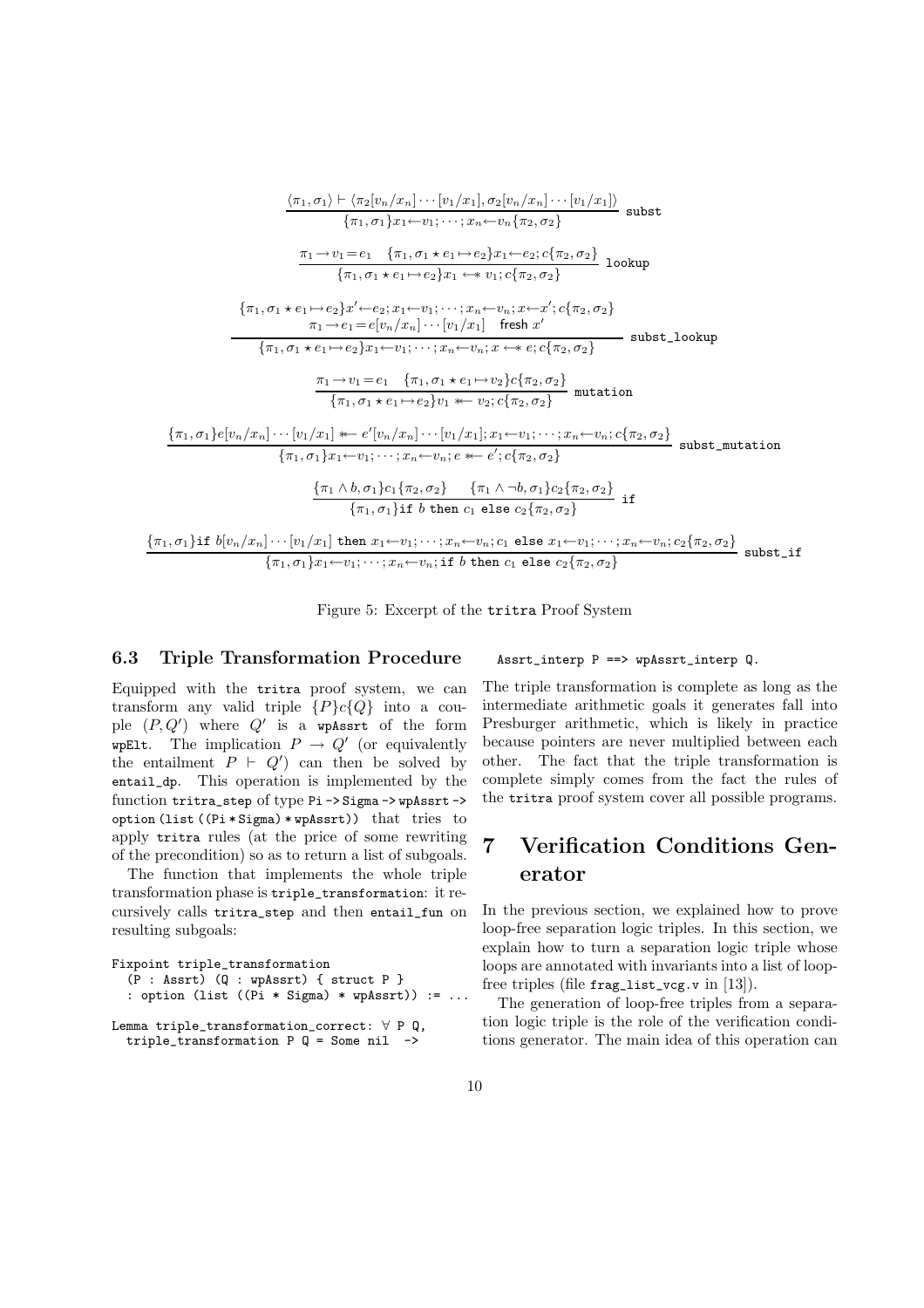$$
\frac{\langle \pi_1, \sigma_1 \rangle \vdash \langle \pi_2[v_n/x_n] \cdots [v_1/x_1], \sigma_2[v_n/x_n] \cdots [v_1/x_1] \rangle}{\{\pi_1, \sigma_1\}x_1 \leftarrow v_1; \dots; x_n \leftarrow v_n \{\pi_2, \sigma_2\}} \text{subset}
$$
\n
$$
\frac{\pi_1 \rightarrow v_1 = e_1 \quad \{\pi_1, \sigma_1 \star e_1 \mapsto e_2\}x_1 \leftarrow e_2; c\{\pi_2, \sigma_2\}}{\{\pi_1, \sigma_1 \star e_1 \mapsto e_2\}x_1 \leftarrow v_1; c\{\pi_2, \sigma_2\}} \text{lookup}
$$
\n
$$
\{\pi_1, \sigma_1 \star e_1 \mapsto e_2\}x' \leftarrow e_2; x_1 \leftarrow v_1; \dots; x_n \leftarrow v_n; x \leftarrow x'; c\{\pi_2, \sigma_2\}
$$
\n
$$
\pi_1 \rightarrow e_1 = e[v_n/x_n] \cdots [v_1/x_1] \quad \text{ fresh } x'
$$
\n
$$
\{\pi_1, \sigma_1 \star e_1 \mapsto e_2\}x_1 \leftarrow v_1; \dots; x_n \leftarrow v_n; x \leftarrow e; c\{\pi_2, \sigma_2\}
$$
\n
$$
\frac{\pi_1 \rightarrow v_1 = e_1 \quad \{\pi_1, \sigma_1 \star e_1 \mapsto v_2\}c\{\pi_2, \sigma_2\}}{\{\pi_1, \sigma_1 \star e_1 \mapsto e_2\}v_1 \leftarrow v_2; c\{\pi_2, \sigma_2\}} \text{mutation}
$$
\n
$$
\{\pi_1, \sigma_1\}e[v_n/x_n] \cdots [v_1/x_1] \leftarrow e'[v_n/x_n] \cdots [v_1/x_1]; x_1 \leftarrow v_1; \dots; x_n \leftarrow v_n; c\{\pi_2, \sigma_2\}\}
$$
\n
$$
\{\pi_1, \sigma_1\}x_1 \leftarrow v_1; \dots; x_n \leftarrow v_n; e \leftarrow e'; c\{\pi_2, \sigma_2\}\
$$
\n
$$
\{\pi_1, \sigma_1\}x_1 \leftarrow v_1; \dots; x_n \leftarrow v_n; e \leftarrow e'; c\{\pi_2, \sigma_2\}\right\} \text
$$

Figure 5: Excerpt of the tritra Proof System

### 6.3 Triple Transformation Procedure

Equipped with the tritra proof system, we can transform any valid triple  $\{P\}c\{Q\}$  into a couple  $(P, Q')$  where  $Q'$  is a wpassrt of the form wpElt. The implication  $P \to Q'$  (or equivalently the entailment  $P + Q'$  can then be solved by entail\_dp. This operation is implemented by the function tritra\_step of type Pi -> Sigma -> wpAssrt -> option (list ((Pi \* Sigma) \* wpAssrt)) that tries to apply tritra rules (at the price of some rewriting of the precondition) so as to return a list of subgoals.

The function that implements the whole triple transformation phase is triple\_transformation: it recursively calls tritra\_step and then entail\_fun on resulting subgoals:

```
Fixpoint triple_transformation
  (P : Assrt) (Q : wpAssrt) { struct P }
  : option (list ((Pi * Sigma) * wpAssrt)) := ...
Lemma triple_transformation_correct: \forall P Q,
```
triple\_transformation  $P Q =$  Some nil  $\rightarrow$ 

Assrt\_interp P ==> wpAssrt\_interp Q.

The triple transformation is complete as long as the intermediate arithmetic goals it generates fall into Presburger arithmetic, which is likely in practice because pointers are never multiplied between each other. The fact that the triple transformation is complete simply comes from the fact the rules of the tritra proof system cover all possible programs.

# 7 Verification Conditions Generator

In the previous section, we explained how to prove loop-free separation logic triples. In this section, we explain how to turn a separation logic triple whose loops are annotated with invariants into a list of loopfree triples (file  $\text{frag\_list\_vcg.v}$  in [13]).

The generation of loop-free triples from a separation logic triple is the role of the verification conditions generator. The main idea of this operation can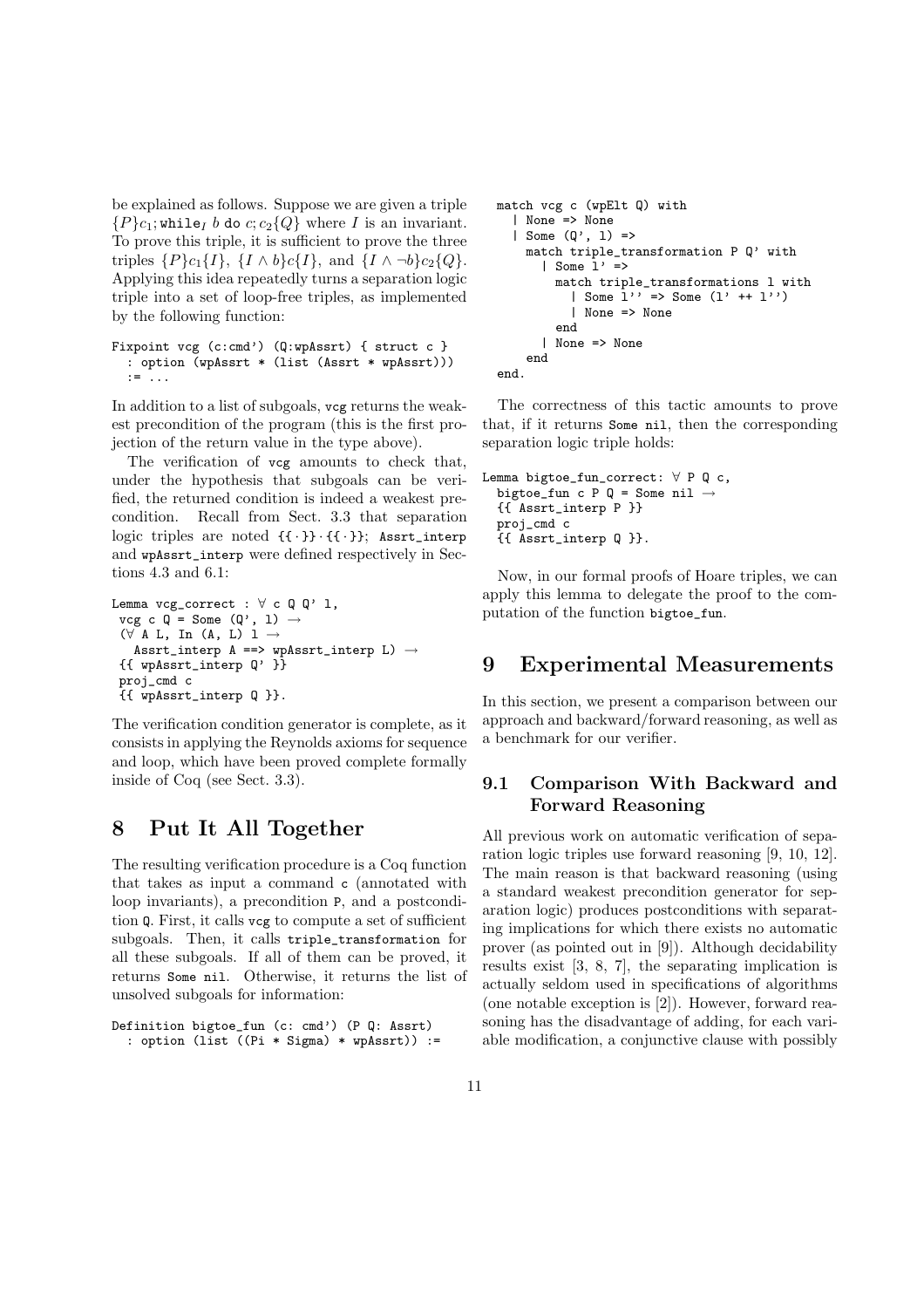be explained as follows. Suppose we are given a triple  ${P}c_1$ ; while<sub>I</sub> b do c;  $c_2{Q}$  where I is an invariant. To prove this triple, it is sufficient to prove the three triples  $\{P\}c_1\{I\}, \{I \wedge b\}c\{I\}, \text{ and } \{I \wedge \neg b\}c_2\{Q\}.$ Applying this idea repeatedly turns a separation logic triple into a set of loop-free triples, as implemented by the following function:

```
Fixpoint vcg (c:cmd') (Q:wpAssrt) { struct c }
  : option (wpAssrt * (list (Assrt * wpAssrt)))
  := ...
```
In addition to a list of subgoals, vcg returns the weakest precondition of the program (this is the first projection of the return value in the type above).

The verification of vcg amounts to check that, under the hypothesis that subgoals can be verified, the returned condition is indeed a weakest precondition. Recall from Sect. 3.3 that separation logic triples are noted  $\{\{\cdot\}\}\cdot\{\{\cdot\}\}\$ ; Assrt\_interp and wpAssrt\_interp were defined respectively in Sections 4.3 and 6.1:

```
Lemma vcg\_correct : \forall c \neq \emptyset l,
 vcg c Q = Some (Q', 1) \rightarrow(\forall A L, In (A, L) 1 \rightarrowAssrt_interp A ==> wpAssrt_interp L) \rightarrow{{ wpAssrt_interp Q' }}
 proj_cmd c
 {{ wpAssrt_interp Q }}.
```
The verification condition generator is complete, as it consists in applying the Reynolds axioms for sequence and loop, which have been proved complete formally inside of Coq (see Sect. 3.3).

## 8 Put It All Together

The resulting verification procedure is a Coq function that takes as input a command c (annotated with loop invariants), a precondition P, and a postcondition Q. First, it calls vcg to compute a set of sufficient subgoals. Then, it calls triple\_transformation for all these subgoals. If all of them can be proved, it returns Some nil. Otherwise, it returns the list of unsolved subgoals for information:

```
Definition bigtoe_fun (c: cmd') (P Q: Assrt)
  : option (list ((Pi * Sigma) * wpAssrt)) :=
```

```
match vcg c (wpElt Q) with
  | None => None
  | Some (Q', 1) =>
   match triple_transformation P Q' with
      | Some 1' =>
        match triple_transformations l with
          | Some 1'' => Some (1' ++ 1'')
          | None => None
        end
      | None => None
   end
end.
```
The correctness of this tactic amounts to prove that, if it returns Some nil, then the corresponding separation logic triple holds:

```
Lemma bigtoe_fun_correct: ∀ P Q c,
  bigtoe_fun c P Q = Some nil \rightarrow{{ Assrt_interp P }}
  proj_cmd c
  {{ Assrt_interp Q }}.
```
Now, in our formal proofs of Hoare triples, we can apply this lemma to delegate the proof to the computation of the function bigtoe\_fun.

## 9 Experimental Measurements

In this section, we present a comparison between our approach and backward/forward reasoning, as well as a benchmark for our verifier.

## 9.1 Comparison With Backward and Forward Reasoning

All previous work on automatic verification of separation logic triples use forward reasoning [9, 10, 12]. The main reason is that backward reasoning (using a standard weakest precondition generator for separation logic) produces postconditions with separating implications for which there exists no automatic prover (as pointed out in [9]). Although decidability results exist [3, 8, 7], the separating implication is actually seldom used in specifications of algorithms (one notable exception is [2]). However, forward reasoning has the disadvantage of adding, for each variable modification, a conjunctive clause with possibly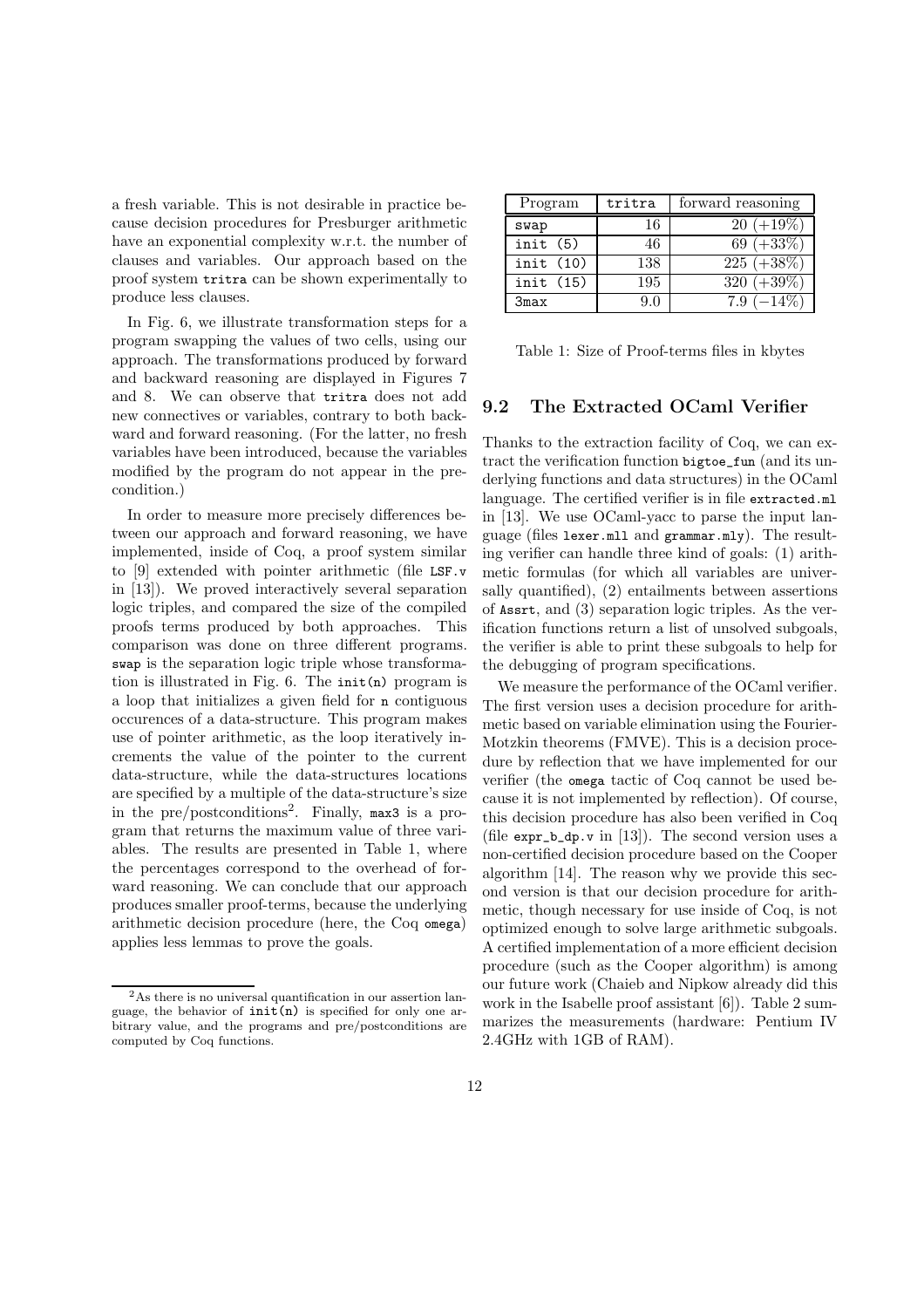a fresh variable. This is not desirable in practice because decision procedures for Presburger arithmetic have an exponential complexity w.r.t. the number of clauses and variables. Our approach based on the proof system tritra can be shown experimentally to produce less clauses.

In Fig. 6, we illustrate transformation steps for a program swapping the values of two cells, using our approach. The transformations produced by forward and backward reasoning are displayed in Figures 7 and 8. We can observe that tritra does not add new connectives or variables, contrary to both backward and forward reasoning. (For the latter, no fresh variables have been introduced, because the variables modified by the program do not appear in the precondition.)

In order to measure more precisely differences between our approach and forward reasoning, we have implemented, inside of Coq, a proof system similar to [9] extended with pointer arithmetic (file LSF.v in [13]). We proved interactively several separation logic triples, and compared the size of the compiled proofs terms produced by both approaches. This comparison was done on three different programs. swap is the separation logic triple whose transformation is illustrated in Fig. 6. The init(n) program is a loop that initializes a given field for n contiguous occurences of a data-structure. This program makes use of pointer arithmetic, as the loop iteratively increments the value of the pointer to the current data-structure, while the data-structures locations are specified by a multiple of the data-structure's size in the pre/postconditions<sup>2</sup> . Finally, max3 is a program that returns the maximum value of three variables. The results are presented in Table 1, where the percentages correspond to the overhead of forward reasoning. We can conclude that our approach produces smaller proof-terms, because the underlying arithmetic decision procedure (here, the Coq omega) applies less lemmas to prove the goals.

| Program  | tritra | forward reasoning |
|----------|--------|-------------------|
| swap     | 16     | $20 (+19\%)$      |
| init(5)  | 46     | 69 $(+33%)$       |
| init(10) | 138    | $225 (+38\%)$     |
| init(15) | 195    | $320 (+39\%)$     |
| 3max     | 9.0    | $7.9(-14\%$       |

Table 1: Size of Proof-terms files in kbytes

### 9.2 The Extracted OCaml Verifier

Thanks to the extraction facility of Coq, we can extract the verification function bigtoe\_fun (and its underlying functions and data structures) in the OCaml language. The certified verifier is in file extracted.ml in [13]. We use OCaml-yacc to parse the input language (files lexer.mll and grammar.mly). The resulting verifier can handle three kind of goals: (1) arithmetic formulas (for which all variables are universally quantified), (2) entailments between assertions of Assrt, and (3) separation logic triples. As the verification functions return a list of unsolved subgoals, the verifier is able to print these subgoals to help for the debugging of program specifications.

We measure the performance of the OCaml verifier. The first version uses a decision procedure for arithmetic based on variable elimination using the Fourier-Motzkin theorems (FMVE). This is a decision procedure by reflection that we have implemented for our verifier (the omega tactic of Coq cannot be used because it is not implemented by reflection). Of course, this decision procedure has also been verified in Coq (file  $\exp[-b_0 v \text{ in } [13])$ . The second version uses a non-certified decision procedure based on the Cooper algorithm [14]. The reason why we provide this second version is that our decision procedure for arithmetic, though necessary for use inside of Coq, is not optimized enough to solve large arithmetic subgoals. A certified implementation of a more efficient decision procedure (such as the Cooper algorithm) is among our future work (Chaieb and Nipkow already did this work in the Isabelle proof assistant [6]). Table 2 summarizes the measurements (hardware: Pentium IV 2.4GHz with 1GB of RAM).

 $^{2}\mathrm{As}$  there is no universal quantification in our assertion language, the behavior of  $init(n)$  is specified for only one arbitrary value, and the programs and pre/postconditions are computed by Coq functions.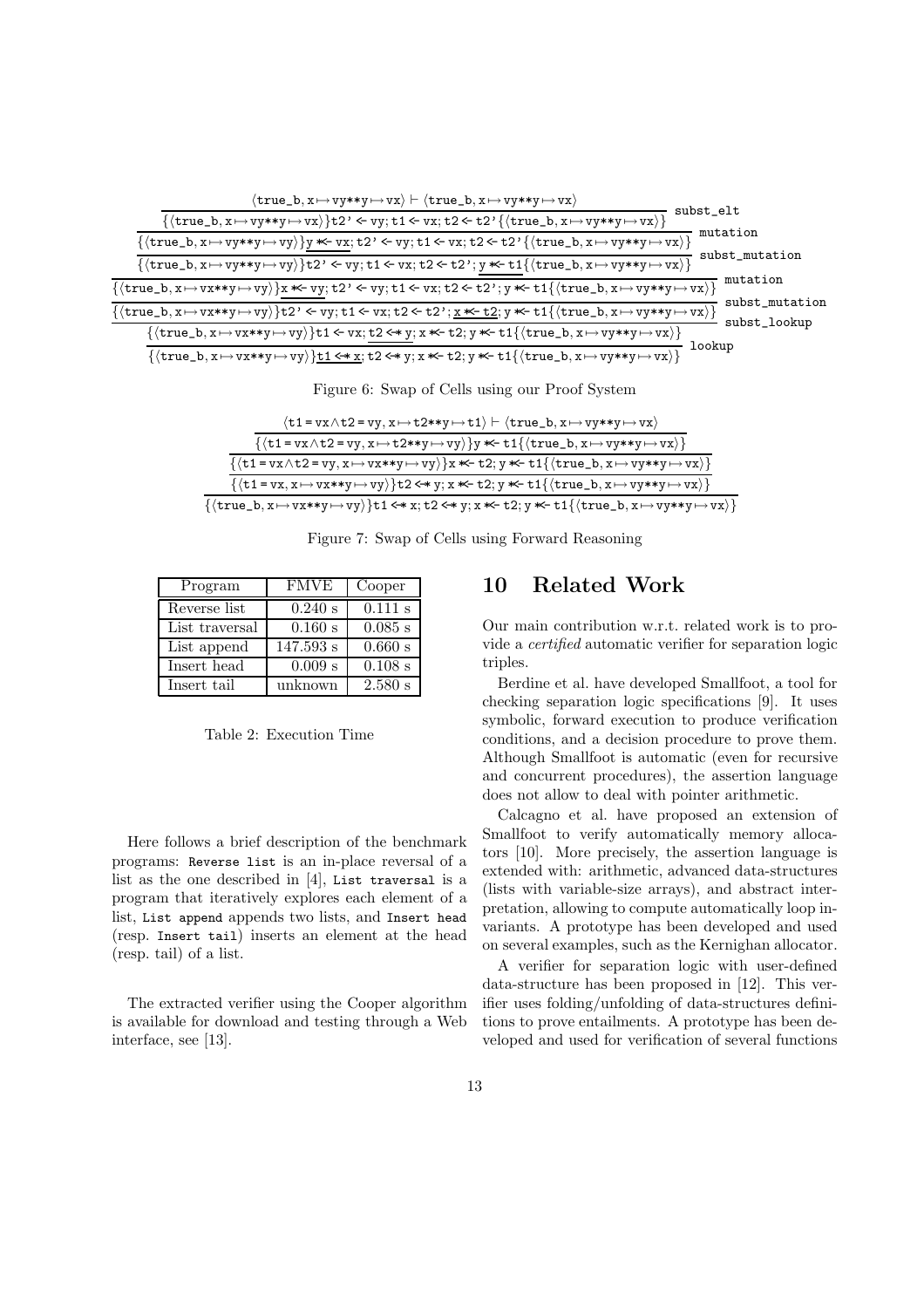

| Figure 6: Swap of Cells using our Proof System |  |  |  |  |
|------------------------------------------------|--|--|--|--|
|                                                |  |  |  |  |

| $\langle t1 = vx \wedge t2 = vy, x \mapsto t2**y \mapsto t1 \rangle \vdash \langle true_b, x \mapsto vy**y \mapsto vx \rangle$                                                                                                                                                                                                                     |
|----------------------------------------------------------------------------------------------------------------------------------------------------------------------------------------------------------------------------------------------------------------------------------------------------------------------------------------------------|
| $\left\{\left\langle \texttt{tl}= \texttt{vx} \wedge \texttt{t2} = \texttt{vy}, \texttt{x} \mapsto \texttt{t2**y} \mapsto \texttt{vy}\right\rangle\right\} \texttt{y} \textcolor{red}{\textbf{*}} \texttt{t1}\left\{\left\langle \texttt{true\_b}, \texttt{x} \mapsto \texttt{vy} \texttt{*} \texttt{y} \mapsto \texttt{vx} \right\rangle\right\}$ |
| $\{\langle t1 = vx \wedge t2 = vy, x \mapsto vx**y \mapsto vy \rangle\}x \ll t2; y \ll t1\{\langle true_b, x \mapsto vy**y \mapsto vx \rangle\}$                                                                                                                                                                                                   |
| $\{\langle\mathtt{tl}= \mathtt{vx}, \mathtt{x} \mapsto \mathtt{vx} \ast\ast \mathtt{y} \mapsto \mathtt{vy}\rangle\} \mathtt{t2} \Longleftrightarrow \mathtt{y}; \mathtt{x} \ast\!\!\!\!\leftarrow\mathtt{tl}\{\langle\mathtt{true\_b}, \mathtt{x} \mapsto \mathtt{vy} \ast\ast \mathtt{y} \mapsto \mathtt{vx}\rangle\}$                            |
| $\{\langle true\_b, x \mapsto vx**y \mapsto vy \rangle\}$ t1 <* x; t2 <* y; x *< t2; y *< t1 $\{\langle true\_b, x \mapsto vy**y \mapsto vx \rangle\}$                                                                                                                                                                                             |

Figure 7: Swap of Cells using Forward Reasoning

| Program        | <b>FMVE</b> | Cooper    |
|----------------|-------------|-----------|
| Reverse list   | $0.240$ s   | 0.111 s   |
| List traversal | 0.160 s     | $0.085$ s |
| List append    | 147.593 s   | 0.660 s   |
| Insert head    | 0.009 s     | 0.108 s   |
| Insert tail    | unknown     | 2.580 s   |

Table 2: Execution Time

Here follows a brief description of the benchmark programs: Reverse list is an in-place reversal of a list as the one described in [4], List traversal is a program that iteratively explores each element of a list, List append appends two lists, and Insert head (resp. Insert tail) inserts an element at the head (resp. tail) of a list.

The extracted verifier using the Cooper algorithm is available for download and testing through a Web interface, see [13].

## 10 Related Work

Our main contribution w.r.t. related work is to provide a certified automatic verifier for separation logic triples.

Berdine et al. have developed Smallfoot, a tool for checking separation logic specifications [9]. It uses symbolic, forward execution to produce verification conditions, and a decision procedure to prove them. Although Smallfoot is automatic (even for recursive and concurrent procedures), the assertion language does not allow to deal with pointer arithmetic.

Calcagno et al. have proposed an extension of Smallfoot to verify automatically memory allocators [10]. More precisely, the assertion language is extended with: arithmetic, advanced data-structures (lists with variable-size arrays), and abstract interpretation, allowing to compute automatically loop invariants. A prototype has been developed and used on several examples, such as the Kernighan allocator.

A verifier for separation logic with user-defined data-structure has been proposed in [12]. This verifier uses folding/unfolding of data-structures definitions to prove entailments. A prototype has been developed and used for verification of several functions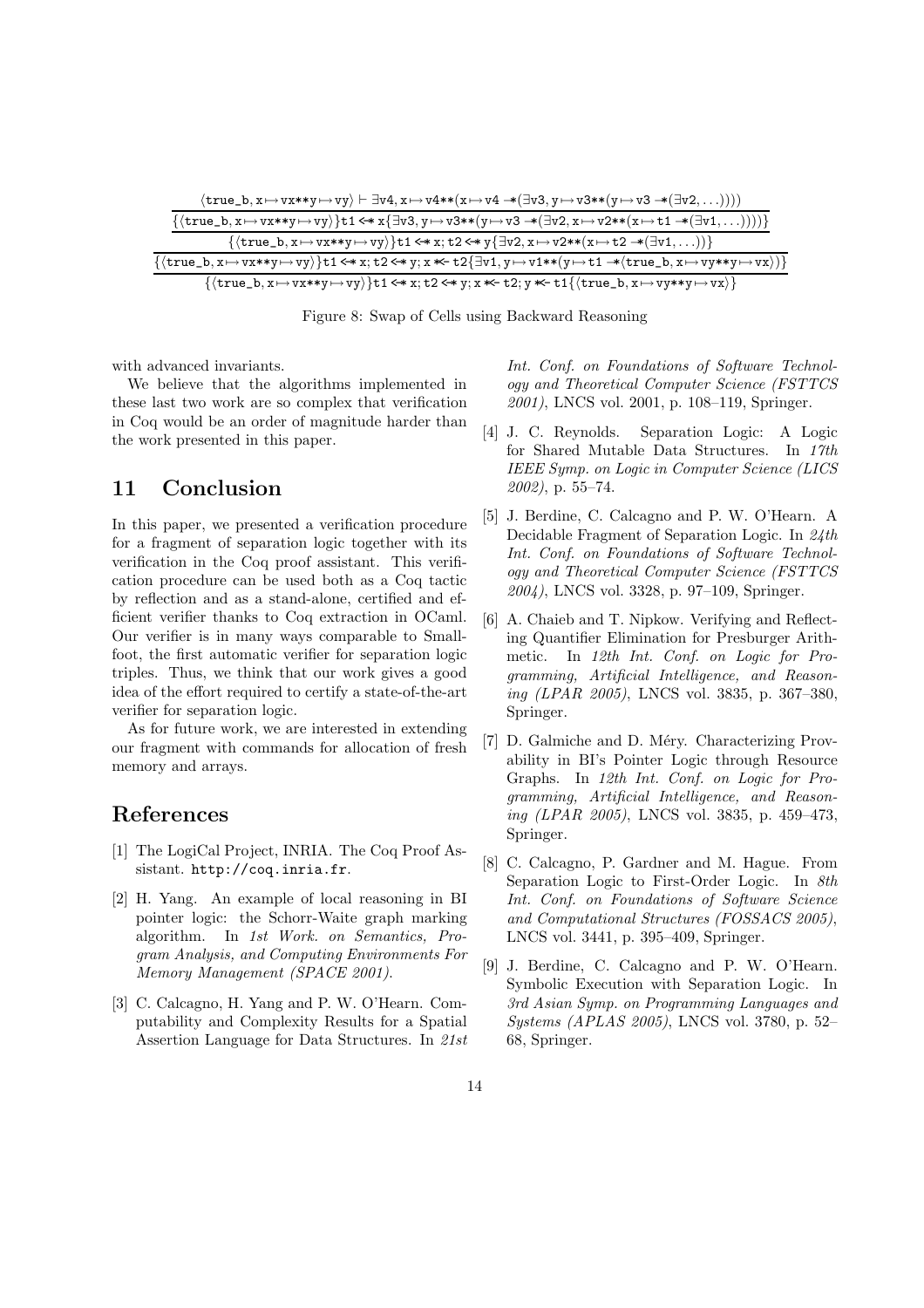

Figure 8: Swap of Cells using Backward Reasoning

with advanced invariants.

We believe that the algorithms implemented in these last two work are so complex that verification in Coq would be an order of magnitude harder than the work presented in this paper.

## 11 Conclusion

In this paper, we presented a verification procedure for a fragment of separation logic together with its verification in the Coq proof assistant. This verification procedure can be used both as a Coq tactic by reflection and as a stand-alone, certified and efficient verifier thanks to Coq extraction in OCaml. Our verifier is in many ways comparable to Smallfoot, the first automatic verifier for separation logic triples. Thus, we think that our work gives a good idea of the effort required to certify a state-of-the-art verifier for separation logic.

As for future work, we are interested in extending our fragment with commands for allocation of fresh memory and arrays.

## References

- [1] The LogiCal Project, INRIA. The Coq Proof Assistant. http://coq.inria.fr.
- [2] H. Yang. An example of local reasoning in BI pointer logic: the Schorr-Waite graph marking algorithm. In 1st Work. on Semantics, Program Analysis, and Computing Environments For Memory Management (SPACE 2001).
- [3] C. Calcagno, H. Yang and P. W. O'Hearn. Computability and Complexity Results for a Spatial Assertion Language for Data Structures. In 21st

Int. Conf. on Foundations of Software Technology and Theoretical Computer Science (FSTTCS 2001), LNCS vol. 2001, p. 108–119, Springer.

- [4] J. C. Reynolds. Separation Logic: A Logic for Shared Mutable Data Structures. In 17th IEEE Symp. on Logic in Computer Science (LICS 2002), p. 55–74.
- [5] J. Berdine, C. Calcagno and P. W. O'Hearn. A Decidable Fragment of Separation Logic. In 24th Int. Conf. on Foundations of Software Technology and Theoretical Computer Science (FSTTCS 2004), LNCS vol. 3328, p. 97–109, Springer.
- [6] A. Chaieb and T. Nipkow. Verifying and Reflecting Quantifier Elimination for Presburger Arithmetic. In 12th Int. Conf. on Logic for Programming, Artificial Intelligence, and Reasoning (LPAR 2005), LNCS vol. 3835, p. 367–380, Springer.
- [7] D. Galmiche and D. Méry. Characterizing Provability in BI's Pointer Logic through Resource Graphs. In 12th Int. Conf. on Logic for Programming, Artificial Intelligence, and Reasoning (LPAR 2005), LNCS vol. 3835, p. 459–473, Springer.
- [8] C. Calcagno, P. Gardner and M. Hague. From Separation Logic to First-Order Logic. In 8th Int. Conf. on Foundations of Software Science and Computational Structures (FOSSACS 2005), LNCS vol. 3441, p. 395–409, Springer.
- [9] J. Berdine, C. Calcagno and P. W. O'Hearn. Symbolic Execution with Separation Logic. In 3rd Asian Symp. on Programming Languages and Systems (APLAS 2005), LNCS vol. 3780, p. 52– 68, Springer.